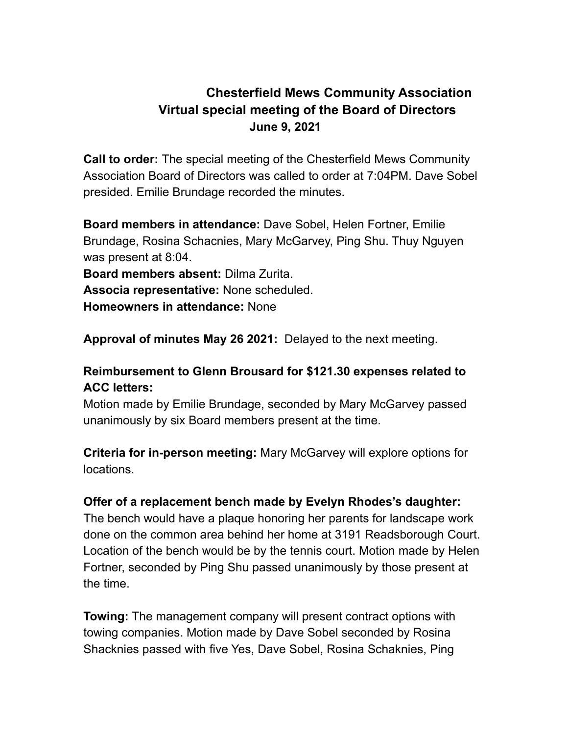## **Chesterfield Mews Community Association Virtual special meeting of the Board of Directors June 9, 2021**

**Call to order:** The special meeting of the Chesterfield Mews Community Association Board of Directors was called to order at 7:04PM. Dave Sobel presided. Emilie Brundage recorded the minutes.

**Board members in attendance:** Dave Sobel, Helen Fortner, Emilie Brundage, Rosina Schacnies, Mary McGarvey, Ping Shu. Thuy Nguyen was present at 8:04.

**Board members absent:** Dilma Zurita.

**Associa representative:** None scheduled.

**Homeowners in attendance:** None

**Approval of minutes May 26 2021:** Delayed to the next meeting.

## **Reimbursement to Glenn Brousard for \$121.30 expenses related to ACC letters:**

Motion made by Emilie Brundage, seconded by Mary McGarvey passed unanimously by six Board members present at the time.

**Criteria for in-person meeting:** Mary McGarvey will explore options for locations.

## **Offer of a replacement bench made by Evelyn Rhodes's daughter:**

The bench would have a plaque honoring her parents for landscape work done on the common area behind her home at 3191 Readsborough Court. Location of the bench would be by the tennis court. Motion made by Helen Fortner, seconded by Ping Shu passed unanimously by those present at the time.

**Towing:** The management company will present contract options with towing companies. Motion made by Dave Sobel seconded by Rosina Shacknies passed with five Yes, Dave Sobel, Rosina Schaknies, Ping